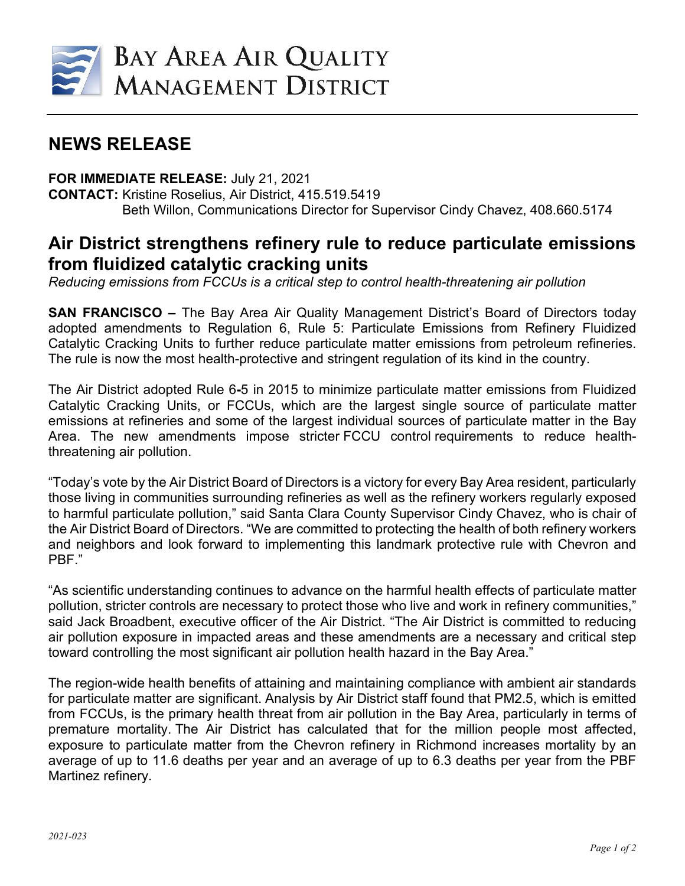

## **NEWS RELEASE**

## **FOR IMMEDIATE RELEASE:** July 21, 2021

**CONTACT:** Kristine Roselius, Air District, 415.519.5419 Beth Willon, Communications Director for Supervisor Cindy Chavez, 408.660.5174

## **Air District strengthens refinery rule to reduce particulate emissions from fluidized catalytic cracking units**

*Reducing emissions from FCCUs is a critical step to control health-threatening air pollution*

**SAN FRANCISCO –** The Bay Area Air Quality Management District's Board of Directors today adopted amendments to Regulation 6, Rule 5: Particulate Emissions from Refinery Fluidized Catalytic Cracking Units to further reduce particulate matter emissions from petroleum refineries. The rule is now the most health-protective and stringent regulation of its kind in the country.

The Air District adopted Rule 6**-**5 in 2015 to minimize particulate matter emissions from Fluidized Catalytic Cracking Units, or FCCUs, which are the largest single source of particulate matter emissions at refineries and some of the largest individual sources of particulate matter in the Bay Area. The new amendments impose stricter FCCU control requirements to reduce healththreatening air pollution.

"Today's vote by the Air District Board of Directors is a victory for every Bay Area resident, particularly those living in communities surrounding refineries as well as the refinery workers regularly exposed to harmful particulate pollution," said Santa Clara County Supervisor Cindy Chavez, who is chair of the Air District Board of Directors. "We are committed to protecting the health of both refinery workers and neighbors and look forward to implementing this landmark protective rule with Chevron and PBF."

"As scientific understanding continues to advance on the harmful health effects of particulate matter pollution, stricter controls are necessary to protect those who live and work in refinery communities," said Jack Broadbent, executive officer of the Air District. "The Air District is committed to reducing air pollution exposure in impacted areas and these amendments are a necessary and critical step toward controlling the most significant air pollution health hazard in the Bay Area."

The region-wide health benefits of attaining and maintaining compliance with ambient air standards for particulate matter are significant. Analysis by Air District staff found that PM2.5, which is emitted from FCCUs, is the primary health threat from air pollution in the Bay Area, particularly in terms of premature mortality. The Air District has calculated that for the million people most affected, exposure to particulate matter from the Chevron refinery in Richmond increases mortality by an average of up to 11.6 deaths per year and an average of up to 6.3 deaths per year from the PBF Martinez refinery.